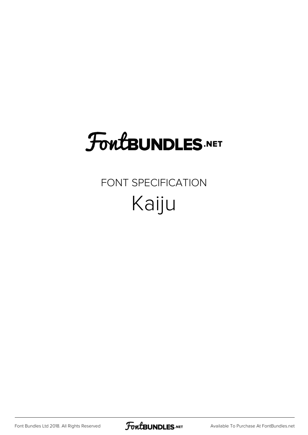# FoutBUNDLES.NET

### FONT SPECIFICATION Kaiju

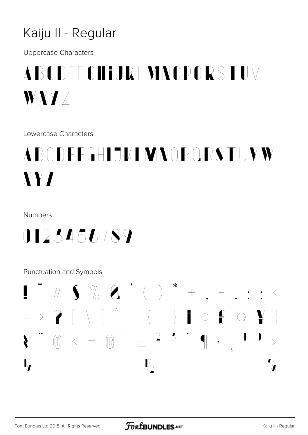### Kaiju II - Regular

**Uppercase Characters** 

## ABCDFFGHIJKI MNOPORSTUV  $\bf W X \bf Z$

Lowercase Characters

## ABCDEFGHIJKI MNOPORSTUVW  $\bf XYZ$

#### Numbers

0123456789

#### Punctuation and Symbols

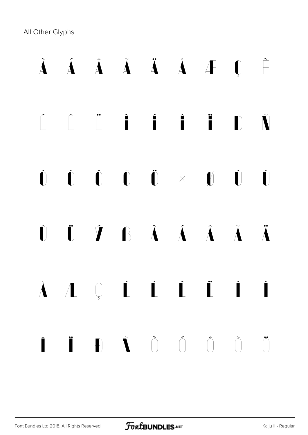All Other Glyphs